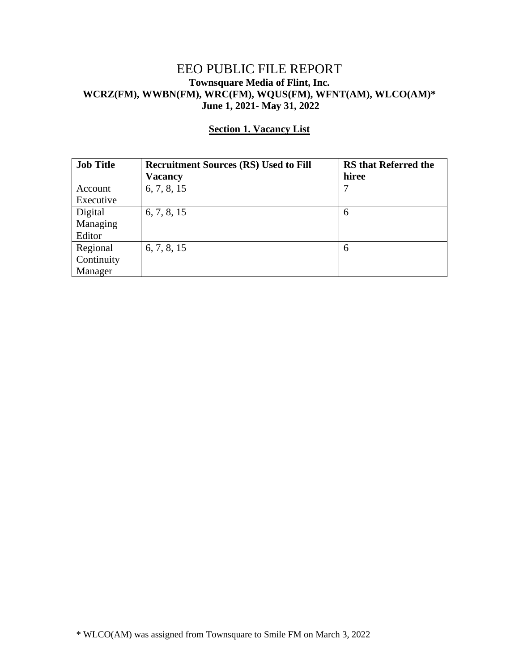## EEO PUBLIC FILE REPORT **Townsquare Media of Flint, Inc. WCRZ(FM), WWBN(FM), WRC(FM), WQUS(FM), WFNT(AM), WLCO(AM)\* June 1, 2021- May 31, 2022**

| <b>Job Title</b> | <b>Recruitment Sources (RS) Used to Fill</b> | <b>RS</b> that Referred the |
|------------------|----------------------------------------------|-----------------------------|
|                  | Vacancy                                      | hiree                       |
| Account          | 6, 7, 8, 15                                  | 7                           |
| Executive        |                                              |                             |
| Digital          | 6, 7, 8, 15                                  | 6                           |
| Managing         |                                              |                             |
| Editor           |                                              |                             |
| Regional         | 6, 7, 8, 15                                  | 6                           |
| Continuity       |                                              |                             |
| Manager          |                                              |                             |

## **Section 1. Vacancy List**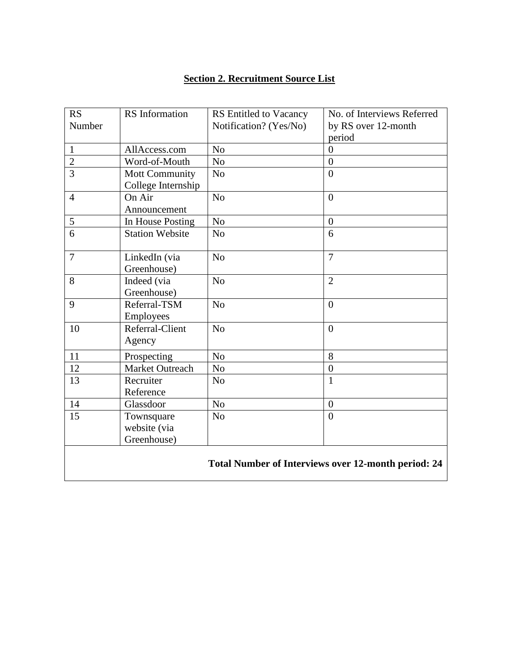## **Section 2. Recruitment Source List**

| <b>RS</b><br>Number                                        | RS Information               | RS Entitled to Vacancy<br>Notification? (Yes/No) | No. of Interviews Referred<br>by RS over 12-month |  |
|------------------------------------------------------------|------------------------------|--------------------------------------------------|---------------------------------------------------|--|
|                                                            |                              |                                                  | period                                            |  |
| $\mathbf{1}$                                               | AllAccess.com                | N <sub>o</sub>                                   | $\overline{0}$                                    |  |
| $\overline{2}$                                             | Word-of-Mouth                | N <sub>o</sub>                                   | $\boldsymbol{0}$                                  |  |
| $\overline{3}$                                             | <b>Mott Community</b>        | N <sub>o</sub>                                   | $\overline{0}$                                    |  |
|                                                            | College Internship           |                                                  |                                                   |  |
| $\overline{4}$                                             | On Air                       | N <sub>o</sub>                                   | $\boldsymbol{0}$                                  |  |
|                                                            | Announcement                 |                                                  |                                                   |  |
| 5                                                          | In House Posting             | N <sub>o</sub>                                   | $\overline{0}$                                    |  |
| 6                                                          | <b>Station Website</b>       | N <sub>o</sub>                                   | 6                                                 |  |
| $\overline{7}$                                             | LinkedIn (via<br>Greenhouse) | N <sub>o</sub>                                   | $\overline{7}$                                    |  |
| 8                                                          | Indeed (via<br>Greenhouse)   | N <sub>o</sub>                                   | $\overline{2}$                                    |  |
| 9                                                          | Referral-TSM<br>Employees    | N <sub>o</sub>                                   | $\boldsymbol{0}$                                  |  |
| 10                                                         | Referral-Client<br>Agency    | N <sub>o</sub>                                   | $\overline{0}$                                    |  |
| 11                                                         | Prospecting                  | N <sub>o</sub>                                   | 8                                                 |  |
| 12                                                         | Market Outreach              | N <sub>o</sub>                                   | $\boldsymbol{0}$                                  |  |
| 13                                                         | Recruiter<br>Reference       | N <sub>o</sub>                                   | $\mathbf{1}$                                      |  |
| 14                                                         | Glassdoor                    | N <sub>o</sub>                                   | $\boldsymbol{0}$                                  |  |
| 15                                                         | Townsquare                   | N <sub>o</sub>                                   | $\overline{0}$                                    |  |
|                                                            | website (via                 |                                                  |                                                   |  |
|                                                            | Greenhouse)                  |                                                  |                                                   |  |
| <b>Total Number of Interviews over 12-month period: 24</b> |                              |                                                  |                                                   |  |